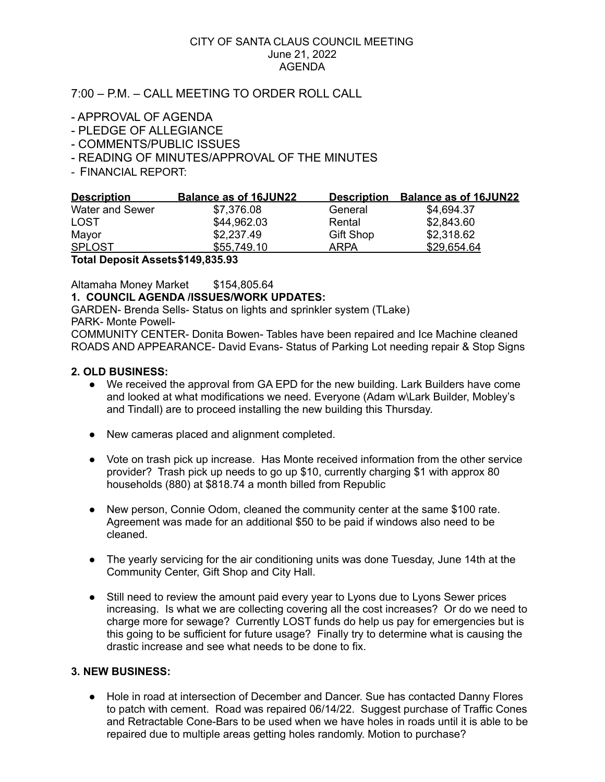#### CITY OF SANTA CLAUS COUNCIL MEETING June 21, 2022 AGENDA

# 7:00 – P.M. – CALL MEETING TO ORDER ROLL CALL

- APPROVAL OF AGENDA
- PLEDGE OF ALLEGIANCE
- COMMENTS/PUBLIC ISSUES
- READING OF MINUTES/APPROVAL OF THE MINUTES
- FINANCIAL REPORT:

| <b>Description</b>                | <b>Balance as of 16JUN22</b> | <b>Description</b> | <b>Balance as of 16JUN22</b> |
|-----------------------------------|------------------------------|--------------------|------------------------------|
| Water and Sewer                   | \$7,376.08                   | General            | \$4,694.37                   |
| <b>LOST</b>                       | \$44,962.03                  | Rental             | \$2,843.60                   |
| Mayor                             | \$2,237.49                   | <b>Gift Shop</b>   | \$2,318.62                   |
| <b>SPLOST</b>                     | \$55,749.10                  | ARPA               | \$29,654.64                  |
| Total Deposit Assets \$149,835.93 |                              |                    |                              |

Altamaha Money Market \$154,805.64

## **1. COUNCIL AGENDA /ISSUES/WORK UPDATES:**

GARDEN- Brenda Sells- Status on lights and sprinkler system (TLake)

PARK- Monte Powell-

COMMUNITY CENTER- Donita Bowen- Tables have been repaired and Ice Machine cleaned ROADS AND APPEARANCE- David Evans- Status of Parking Lot needing repair & Stop Signs

### **2. OLD BUSINESS:**

- We received the approval from GA EPD for the new building. Lark Builders have come and looked at what modifications we need. Everyone (Adam w\Lark Builder, Mobley's and Tindall) are to proceed installing the new building this Thursday.
- New cameras placed and alignment completed.
- Vote on trash pick up increase. Has Monte received information from the other service provider? Trash pick up needs to go up \$10, currently charging \$1 with approx 80 households (880) at \$818.74 a month billed from Republic
- New person, Connie Odom, cleaned the community center at the same \$100 rate. Agreement was made for an additional \$50 to be paid if windows also need to be cleaned.
- The yearly servicing for the air conditioning units was done Tuesday, June 14th at the Community Center, Gift Shop and City Hall.
- Still need to review the amount paid every year to Lyons due to Lyons Sewer prices increasing. Is what we are collecting covering all the cost increases? Or do we need to charge more for sewage? Currently LOST funds do help us pay for emergencies but is this going to be sufficient for future usage? Finally try to determine what is causing the drastic increase and see what needs to be done to fix.

## **3. NEW BUSINESS:**

● Hole in road at intersection of December and Dancer. Sue has contacted Danny Flores to patch with cement. Road was repaired 06/14/22. Suggest purchase of Traffic Cones and Retractable Cone-Bars to be used when we have holes in roads until it is able to be repaired due to multiple areas getting holes randomly. Motion to purchase?